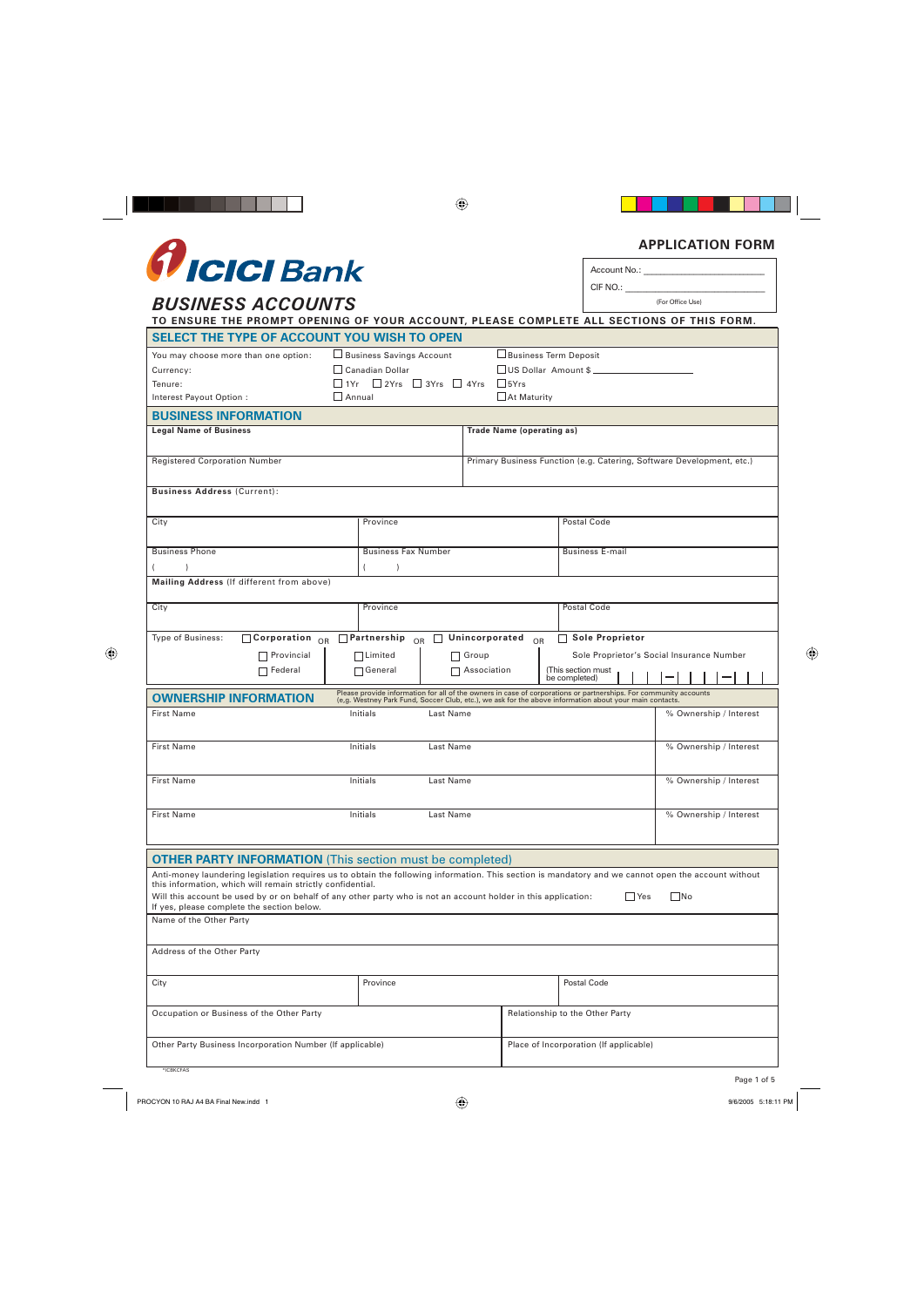# *<u>flICICI Bank*</u>

# **BUSINESS ACCOUNTS**

Account No.: CIF NO.:

| TO ENSURE THE PROMPT OPENING OF YOUR ACCOUNT, PLEASE COMPLETE ALL SECTIONS OF THIS FORM.                                                                                                                          |                                                                                                                                                                                                                             |                                                                       |           |                                           |     |    |  |                        |  |
|-------------------------------------------------------------------------------------------------------------------------------------------------------------------------------------------------------------------|-----------------------------------------------------------------------------------------------------------------------------------------------------------------------------------------------------------------------------|-----------------------------------------------------------------------|-----------|-------------------------------------------|-----|----|--|------------------------|--|
| SELECT THE TYPE OF ACCOUNT YOU WISH TO OPEN                                                                                                                                                                       |                                                                                                                                                                                                                             |                                                                       |           |                                           |     |    |  |                        |  |
| You may choose more than one option:                                                                                                                                                                              | □ Business Term Deposit<br>$\Box$ Business Savings Account                                                                                                                                                                  |                                                                       |           |                                           |     |    |  |                        |  |
| Currency:                                                                                                                                                                                                         | $\Box$ Canadian Dollar<br>US Dollar Amount \$                                                                                                                                                                               |                                                                       |           |                                           |     |    |  |                        |  |
| Tenure:                                                                                                                                                                                                           | $\Box$ 1Yr $\Box$ 2Yrs $\Box$ 3Yrs $\Box$ 4Yrs<br>$\frac{1}{5}$                                                                                                                                                             |                                                                       |           |                                           |     |    |  |                        |  |
| Interest Payout Option :                                                                                                                                                                                          | At Maturity<br>    Annual                                                                                                                                                                                                   |                                                                       |           |                                           |     |    |  |                        |  |
| <b>BUSINESS INFORMATION</b>                                                                                                                                                                                       |                                                                                                                                                                                                                             |                                                                       |           |                                           |     |    |  |                        |  |
| <b>Legal Name of Business</b>                                                                                                                                                                                     |                                                                                                                                                                                                                             | <b>Trade Name (operating as)</b>                                      |           |                                           |     |    |  |                        |  |
|                                                                                                                                                                                                                   |                                                                                                                                                                                                                             |                                                                       |           |                                           |     |    |  |                        |  |
| <b>Registered Corporation Number</b>                                                                                                                                                                              |                                                                                                                                                                                                                             | Primary Business Function (e.g. Catering, Software Development, etc.) |           |                                           |     |    |  |                        |  |
| <b>Business Address (Current):</b>                                                                                                                                                                                |                                                                                                                                                                                                                             |                                                                       |           |                                           |     |    |  |                        |  |
| City                                                                                                                                                                                                              | Province                                                                                                                                                                                                                    |                                                                       |           | Postal Code                               |     |    |  |                        |  |
| <b>Business Phone</b>                                                                                                                                                                                             | <b>Business Fax Number</b>                                                                                                                                                                                                  |                                                                       |           | <b>Business E-mail</b>                    |     |    |  |                        |  |
| $\lambda$                                                                                                                                                                                                         | $\lambda$                                                                                                                                                                                                                   |                                                                       |           |                                           |     |    |  |                        |  |
| Mailing Address (If different from above)                                                                                                                                                                         |                                                                                                                                                                                                                             |                                                                       |           |                                           |     |    |  |                        |  |
| City                                                                                                                                                                                                              | Province                                                                                                                                                                                                                    |                                                                       |           | Postal Code                               |     |    |  |                        |  |
| Type of Business:<br>$\overline{\phantom{1}}$ Corporation <sub>OR</sub>                                                                                                                                           | $\Box$ Partnership<br>$\bigcap R$                                                                                                                                                                                           | Unincorporated                                                        | <b>OR</b> | <b>Sole Proprietor</b>                    |     |    |  |                        |  |
|                                                                                                                                                                                                                   |                                                                                                                                                                                                                             |                                                                       |           |                                           |     |    |  |                        |  |
| $\Box$ Provincial                                                                                                                                                                                                 | $\Box$ Limited                                                                                                                                                                                                              | Group                                                                 |           | Sole Proprietor's Social Insurance Number |     |    |  |                        |  |
|                                                                                                                                                                                                                   |                                                                                                                                                                                                                             |                                                                       |           | (This section must                        |     |    |  |                        |  |
| $\Box$ Federal                                                                                                                                                                                                    | $\Box$ General                                                                                                                                                                                                              | Association                                                           |           | be completed)                             |     |    |  |                        |  |
| <b>OWNERSHIP INFORMATION</b>                                                                                                                                                                                      | Please provide information for all of the owners in case of corporations or partnerships. For community accounts<br>(e.g. Westney Park Fund, Soccer Club, etc.), we ask for the above information about your main contacts. |                                                                       |           |                                           |     |    |  |                        |  |
| <b>First Name</b>                                                                                                                                                                                                 | Initials<br>Last Name                                                                                                                                                                                                       |                                                                       |           |                                           |     |    |  | % Ownership / Interest |  |
|                                                                                                                                                                                                                   |                                                                                                                                                                                                                             |                                                                       |           |                                           |     |    |  |                        |  |
| <b>First Name</b>                                                                                                                                                                                                 | Initials<br>Last Name                                                                                                                                                                                                       |                                                                       |           |                                           |     |    |  | % Ownership / Interest |  |
|                                                                                                                                                                                                                   |                                                                                                                                                                                                                             |                                                                       |           |                                           |     |    |  |                        |  |
| <b>First Name</b>                                                                                                                                                                                                 | Initials<br>Last Name                                                                                                                                                                                                       |                                                                       |           |                                           |     |    |  | % Ownership / Interest |  |
| <b>First Name</b>                                                                                                                                                                                                 | Initials<br>Last Name                                                                                                                                                                                                       |                                                                       |           |                                           |     |    |  | % Ownership / Interest |  |
|                                                                                                                                                                                                                   |                                                                                                                                                                                                                             |                                                                       |           |                                           |     |    |  |                        |  |
| <b>OTHER PARTY INFORMATION</b> (This section must be completed)                                                                                                                                                   |                                                                                                                                                                                                                             |                                                                       |           |                                           |     |    |  |                        |  |
| Anti-money laundering legislation requires us to obtain the following information. This section is mandatory and we cannot open the account without<br>this information, which will remain strictly confidential. |                                                                                                                                                                                                                             |                                                                       |           |                                           |     |    |  |                        |  |
| Will this account be used by or on behalf of any other party who is not an account holder in this application:<br>If yes, please complete the section below.                                                      |                                                                                                                                                                                                                             |                                                                       |           |                                           | Yes | No |  |                        |  |
| Name of the Other Party                                                                                                                                                                                           |                                                                                                                                                                                                                             |                                                                       |           |                                           |     |    |  |                        |  |
| Address of the Other Party                                                                                                                                                                                        |                                                                                                                                                                                                                             |                                                                       |           |                                           |     |    |  |                        |  |
| City                                                                                                                                                                                                              | Province                                                                                                                                                                                                                    |                                                                       |           | Postal Code                               |     |    |  |                        |  |
| Occupation or Business of the Other Party                                                                                                                                                                         |                                                                                                                                                                                                                             |                                                                       |           | Relationship to the Other Party           |     |    |  |                        |  |

## **APPLICATION FORM**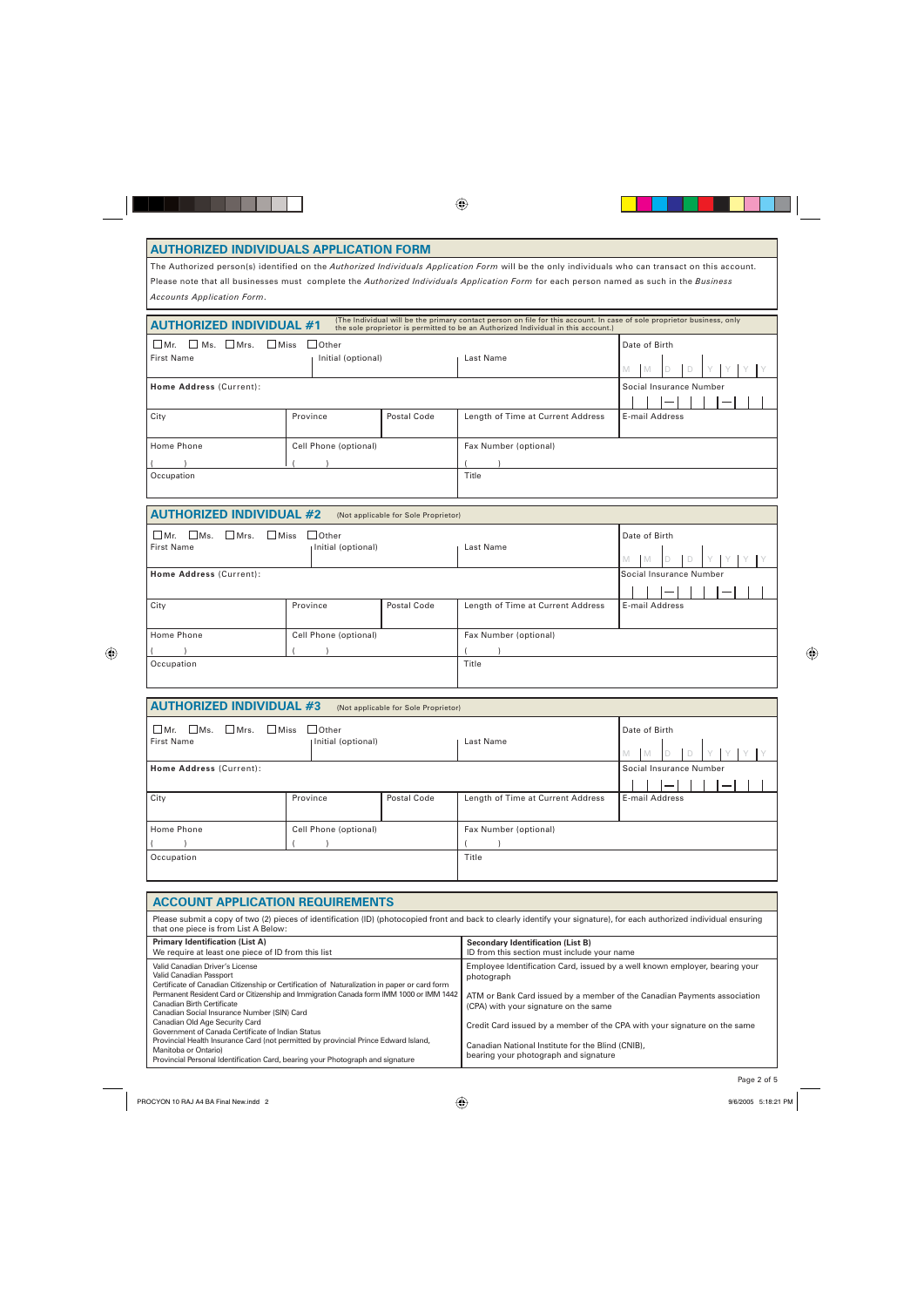#### **AUTHORIZED INDIVIDUALS APPLICATION FORM**

The Authorized person(s) identified on the *Authorized Individuals Application Form* will be the only individuals who can transact on this account. Please note that all businesses must complete the *Authorized Individuals Application Form* for each person named as such in the *Business Accounts Application Form*.

| <b>AUTHORIZED INDIVIDUAL #1</b>                                      |                                    |                                      | (The Individual will be the primary contact person on file for this account. In case of sole proprietor business, only<br>the sole proprietor is permitted to be an Authorized Individual in this account.) |                                          |  |  |
|----------------------------------------------------------------------|------------------------------------|--------------------------------------|-------------------------------------------------------------------------------------------------------------------------------------------------------------------------------------------------------------|------------------------------------------|--|--|
| $\Box$ Ms. $\Box$ Mrs.<br>$\Box$ Miss<br>$Mr$ .<br><b>First Name</b> | $\Box$ Other<br>Initial (optional) |                                      | Last Name                                                                                                                                                                                                   | Date of Birth<br>M<br><b>M</b><br>D      |  |  |
| Home Address (Current):                                              |                                    |                                      |                                                                                                                                                                                                             | Social Insurance Number                  |  |  |
| City                                                                 | Province                           | Postal Code                          | Length of Time at Current Address                                                                                                                                                                           | E-mail Address                           |  |  |
| Home Phone                                                           | Cell Phone (optional)              |                                      | Fax Number (optional)                                                                                                                                                                                       |                                          |  |  |
|                                                                      |                                    |                                      |                                                                                                                                                                                                             |                                          |  |  |
| Occupation                                                           |                                    |                                      | Title                                                                                                                                                                                                       |                                          |  |  |
| <b>AUTHORIZED INDIVIDUAL #2</b>                                      |                                    | (Not applicable for Sole Proprietor) |                                                                                                                                                                                                             |                                          |  |  |
| Mr.<br>$\Box$ Ms.<br>Mrs.<br><b>Miss</b><br><b>First Name</b>        | $\Box$ Other<br>Initial (optional) |                                      | Last Name                                                                                                                                                                                                   | Date of Birth<br>M<br><b>M</b><br>D<br>Ð |  |  |
| Home Address (Current):                                              |                                    |                                      | Social Insurance Number                                                                                                                                                                                     |                                          |  |  |
|                                                                      |                                    |                                      |                                                                                                                                                                                                             |                                          |  |  |
| City                                                                 | Province                           | <b>Postal Code</b>                   | Length of Time at Current Address                                                                                                                                                                           | E-mail Address                           |  |  |
| Home Phone                                                           | Cell Phone (optional)              |                                      | Fax Number (optional)                                                                                                                                                                                       |                                          |  |  |
|                                                                      |                                    |                                      |                                                                                                                                                                                                             |                                          |  |  |
| Occupation                                                           |                                    |                                      | Title                                                                                                                                                                                                       |                                          |  |  |
|                                                                      |                                    |                                      |                                                                                                                                                                                                             |                                          |  |  |
| <b>AUTHORIZED INDIVIDUAL #3</b>                                      |                                    | (Not applicable for Sole Proprietor) |                                                                                                                                                                                                             |                                          |  |  |
|                                                                      |                                    |                                      |                                                                                                                                                                                                             |                                          |  |  |

| $\Box$ Mr.<br>$\Box$ Mrs.<br>$\Box$ Ms.<br><b>First Name</b> | <b>Miss</b><br>Other<br>Initial (optional) |             | Last Name                         | Date of Birth<br>$\Box$<br><b>IM</b><br>M |
|--------------------------------------------------------------|--------------------------------------------|-------------|-----------------------------------|-------------------------------------------|
| Home Address (Current):                                      |                                            |             |                                   | Social Insurance Number                   |
|                                                              |                                            |             |                                   |                                           |
| City                                                         | Province                                   | Postal Code | Length of Time at Current Address | E-mail Address                            |
|                                                              |                                            |             |                                   |                                           |
| Home Phone                                                   | Cell Phone (optional)                      |             | Fax Number (optional)             |                                           |
|                                                              |                                            |             |                                   |                                           |
| Occupation                                                   |                                            |             | Title                             |                                           |
|                                                              |                                            |             |                                   |                                           |

| <b>ACCOUNT APPLICATION REQUIREMENTS</b>                                                                                                                                                                                                                                                                                                                                                                                                                                                                                                                                                                                    |                                                                                                                                                                                                                                                                                                                                                                                           |  |  |  |
|----------------------------------------------------------------------------------------------------------------------------------------------------------------------------------------------------------------------------------------------------------------------------------------------------------------------------------------------------------------------------------------------------------------------------------------------------------------------------------------------------------------------------------------------------------------------------------------------------------------------------|-------------------------------------------------------------------------------------------------------------------------------------------------------------------------------------------------------------------------------------------------------------------------------------------------------------------------------------------------------------------------------------------|--|--|--|
| Please submit a copy of two (2) pieces of identification (ID) (photocopied front and back to clearly identify your signature), for each authorized individual ensuring<br>that one piece is from List A Below:                                                                                                                                                                                                                                                                                                                                                                                                             |                                                                                                                                                                                                                                                                                                                                                                                           |  |  |  |
| <b>Primary Identification (List A)</b><br>We require at least one piece of ID from this list                                                                                                                                                                                                                                                                                                                                                                                                                                                                                                                               | <b>Secondary Identification (List B)</b><br>ID from this section must include your name                                                                                                                                                                                                                                                                                                   |  |  |  |
| Valid Canadian Driver's License<br>Valid Canadian Passport<br>Certificate of Canadian Citizenship or Certification of Naturalization in paper or card form<br>Permanent Resident Card or Citizenship and Immigration Canada form IMM 1000 or IMM 1442<br>Canadian Birth Certificate<br>Canadian Social Insurance Number (SIN) Card<br>Canadian Old Age Security Card<br>Government of Canada Certificate of Indian Status<br>Provincial Health Insurance Card (not permitted by provincial Prince Edward Island,<br>Manitoba or Ontario)<br>Provincial Personal Identification Card, bearing your Photograph and signature | Employee Identification Card, issued by a well known employer, bearing your<br>photograph<br>ATM or Bank Card issued by a member of the Canadian Payments association<br>(CPA) with your signature on the same<br>Credit Card issued by a member of the CPA with your signature on the same<br>Canadian National Institute for the Blind (CNIB),<br>bearing your photograph and signature |  |  |  |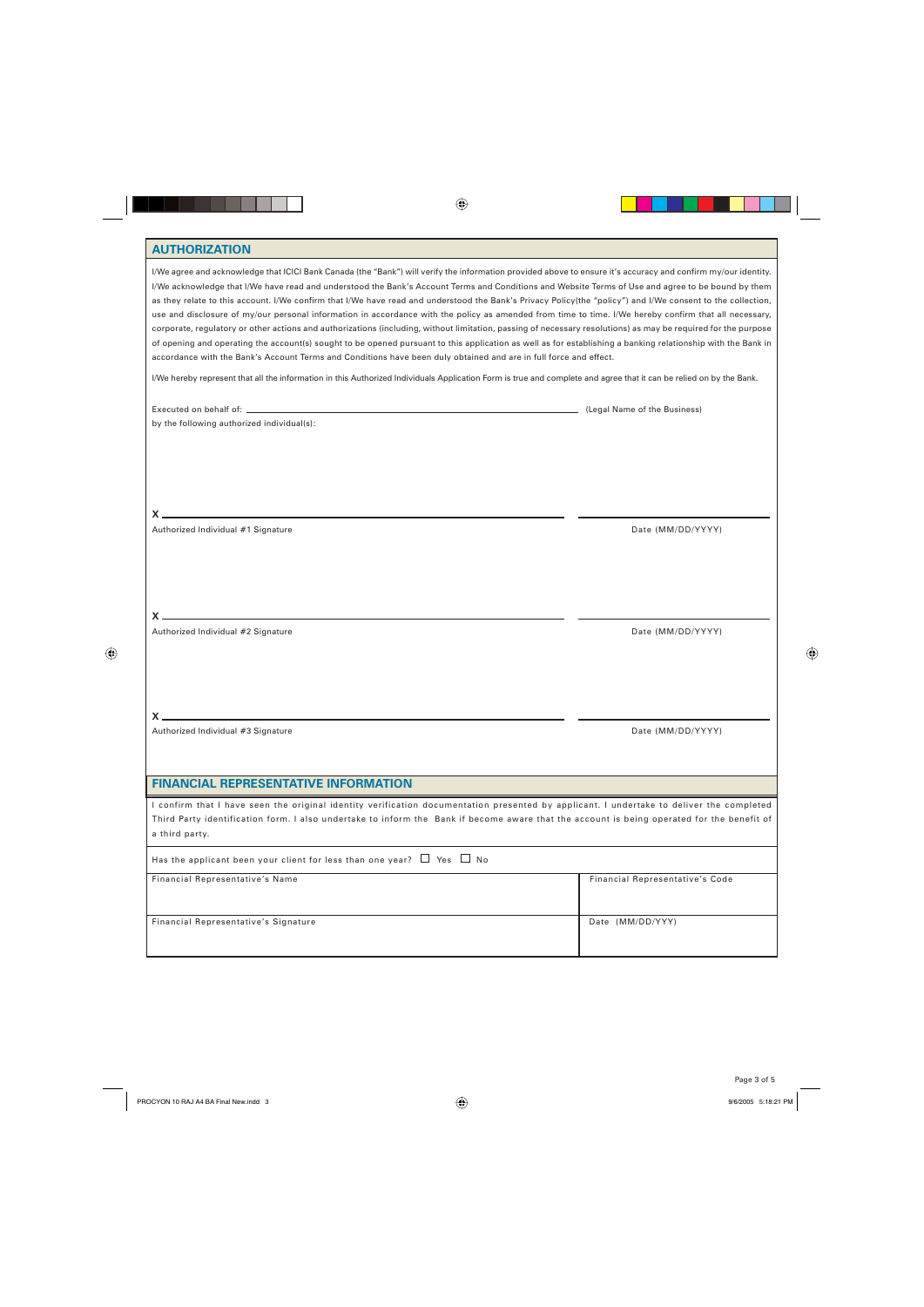### **AUTHORIZATION**

| I/We agree and acknowledge that ICICI Bank Canada (the "Bank") will verify the information provided above to ensure it's accuracy and confirm my/our identity.<br>I/We acknowledge that I/We have read and understood the Bank's Account Terms and Conditions and Website Terms of Use and agree to be bound by them<br>as they relate to this account. I/We confirm that I/We have read and understood the Bank's Privacy Policy(the "policy") and I/We consent to the collection,<br>use and disclosure of my/our personal information in accordance with the policy as amended from time to time. I/We hereby confirm that all necessary,<br>corporate, regulatory or other actions and authorizations (including, without limitation, passing of necessary resolutions) as may be required for the purpose<br>of opening and operating the account(s) sought to be opened pursuant to this application as well as for establishing a banking relationship with the Bank in<br>accordance with the Bank's Account Terms and Conditions have been duly obtained and are in full force and effect.<br>I/We hereby represent that all the information in this Authorized Individuals Application Form is true and complete and agree that it can be relied on by the Bank. |                                 |
|----------------------------------------------------------------------------------------------------------------------------------------------------------------------------------------------------------------------------------------------------------------------------------------------------------------------------------------------------------------------------------------------------------------------------------------------------------------------------------------------------------------------------------------------------------------------------------------------------------------------------------------------------------------------------------------------------------------------------------------------------------------------------------------------------------------------------------------------------------------------------------------------------------------------------------------------------------------------------------------------------------------------------------------------------------------------------------------------------------------------------------------------------------------------------------------------------------------------------------------------------------------------------|---------------------------------|
|                                                                                                                                                                                                                                                                                                                                                                                                                                                                                                                                                                                                                                                                                                                                                                                                                                                                                                                                                                                                                                                                                                                                                                                                                                                                            | (Legal Name of the Business)    |
| by the following authorized individual(s):                                                                                                                                                                                                                                                                                                                                                                                                                                                                                                                                                                                                                                                                                                                                                                                                                                                                                                                                                                                                                                                                                                                                                                                                                                 |                                 |
|                                                                                                                                                                                                                                                                                                                                                                                                                                                                                                                                                                                                                                                                                                                                                                                                                                                                                                                                                                                                                                                                                                                                                                                                                                                                            |                                 |
| Authorized Individual #1 Signature                                                                                                                                                                                                                                                                                                                                                                                                                                                                                                                                                                                                                                                                                                                                                                                                                                                                                                                                                                                                                                                                                                                                                                                                                                         | Date (MM/DD/YYYY)               |
|                                                                                                                                                                                                                                                                                                                                                                                                                                                                                                                                                                                                                                                                                                                                                                                                                                                                                                                                                                                                                                                                                                                                                                                                                                                                            |                                 |
| Authorized Individual #2 Signature                                                                                                                                                                                                                                                                                                                                                                                                                                                                                                                                                                                                                                                                                                                                                                                                                                                                                                                                                                                                                                                                                                                                                                                                                                         | Date (MM/DD/YYYY)               |
| Authorized Individual #3 Signature                                                                                                                                                                                                                                                                                                                                                                                                                                                                                                                                                                                                                                                                                                                                                                                                                                                                                                                                                                                                                                                                                                                                                                                                                                         | Date (MM/DD/YYYY)               |
|                                                                                                                                                                                                                                                                                                                                                                                                                                                                                                                                                                                                                                                                                                                                                                                                                                                                                                                                                                                                                                                                                                                                                                                                                                                                            |                                 |
| <b>FINANCIAL REPRESENTATIVE INFORMATION</b>                                                                                                                                                                                                                                                                                                                                                                                                                                                                                                                                                                                                                                                                                                                                                                                                                                                                                                                                                                                                                                                                                                                                                                                                                                |                                 |
| I confirm that I have seen the original identity verification documentation presented by applicant. I undertake to deliver the completed<br>Third Party identification form. I also undertake to inform the Bank if become aware that the account is being operated for the benefit of<br>a third party.                                                                                                                                                                                                                                                                                                                                                                                                                                                                                                                                                                                                                                                                                                                                                                                                                                                                                                                                                                   |                                 |
| Has the applicant been your client for less than one year? $\Box$ Yes $\Box$ No                                                                                                                                                                                                                                                                                                                                                                                                                                                                                                                                                                                                                                                                                                                                                                                                                                                                                                                                                                                                                                                                                                                                                                                            |                                 |
| Financial Representative's Name                                                                                                                                                                                                                                                                                                                                                                                                                                                                                                                                                                                                                                                                                                                                                                                                                                                                                                                                                                                                                                                                                                                                                                                                                                            | Financial Representative's Code |
| Financial Representative's Signature                                                                                                                                                                                                                                                                                                                                                                                                                                                                                                                                                                                                                                                                                                                                                                                                                                                                                                                                                                                                                                                                                                                                                                                                                                       | Date (MM/DD/YYY)                |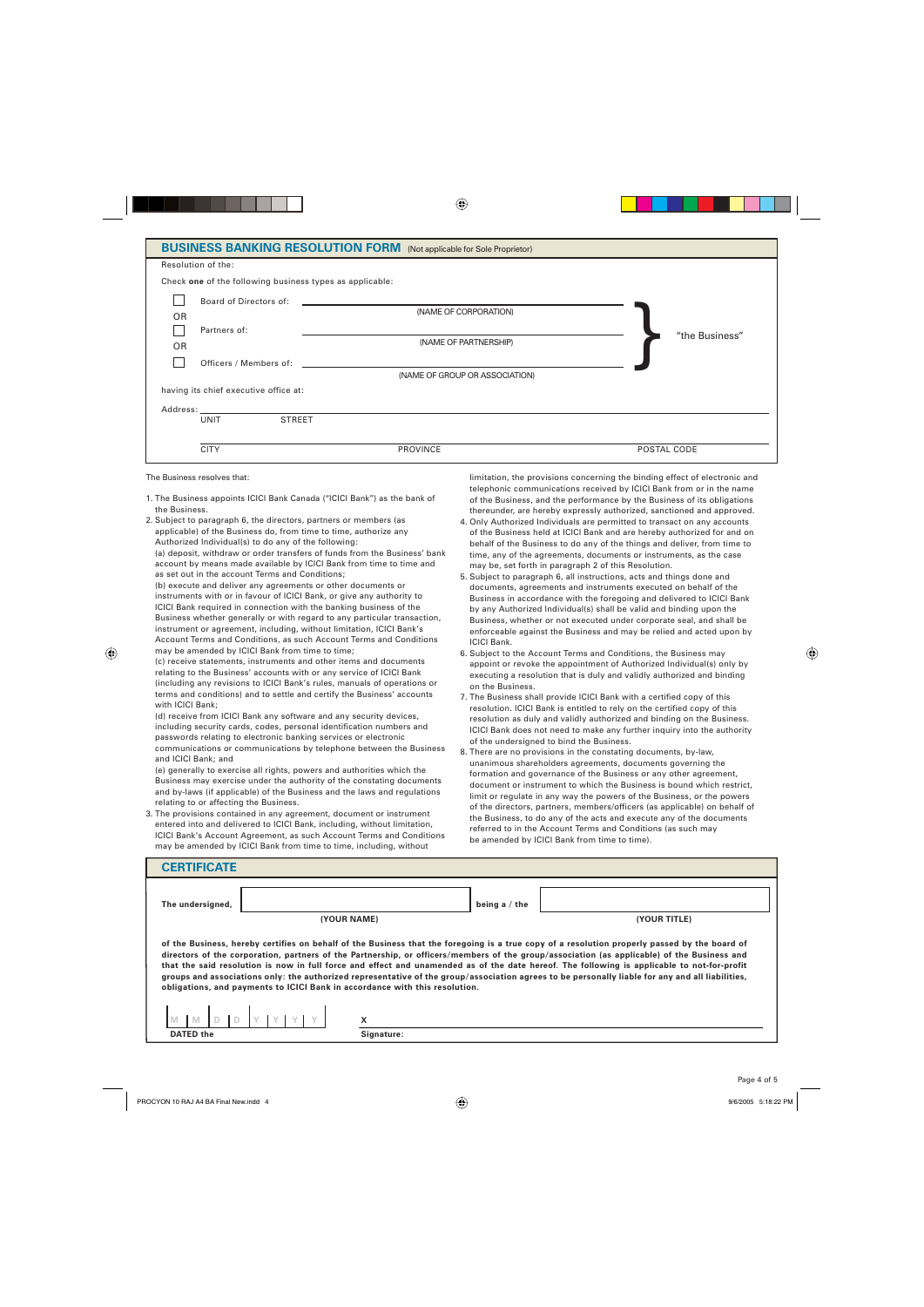#### **BUSINESS BANKING RESOLUTION FORM** (Not applicable for Sole Proprietor)

|                                                          | <b>POULLED DATTITUTE HEOGEO HOTEL CHINE (HOLGIPPIKGING TO JOINT HOPHNICO)</b>                                                                                                                                                  |                |
|----------------------------------------------------------|--------------------------------------------------------------------------------------------------------------------------------------------------------------------------------------------------------------------------------|----------------|
| Resolution of the:                                       |                                                                                                                                                                                                                                |                |
| Check one of the following business types as applicable: |                                                                                                                                                                                                                                |                |
| Board of Directors of:                                   | <u> 1980 - Jan Stein, amerikansk politiker (d. 1980)</u>                                                                                                                                                                       |                |
| <b>OR</b>                                                | (NAME OF CORPORATION)                                                                                                                                                                                                          |                |
| Partners of:                                             |                                                                                                                                                                                                                                |                |
| <b>OR</b>                                                | (NAME OF PARTNERSHIP)                                                                                                                                                                                                          | "the Business" |
|                                                          | Officers / Members of: the contract of the contract of the contract of the contract of the contract of the contract of the contract of the contract of the contract of the contract of the contract of the contract of the con |                |
|                                                          | (NAME OF GROUP OR ASSOCIATION)                                                                                                                                                                                                 |                |
| having its chief executive office at:                    |                                                                                                                                                                                                                                |                |
|                                                          |                                                                                                                                                                                                                                |                |
| <b>UNIT</b>                                              | <b>STREET</b>                                                                                                                                                                                                                  |                |
|                                                          |                                                                                                                                                                                                                                |                |
| <b>CITY</b>                                              | PROVINCE                                                                                                                                                                                                                       | POSTAL CODE    |
|                                                          |                                                                                                                                                                                                                                |                |

The Business resolves that:

- 1. The Business appoints ICICI Bank Canada ("ICICI Bank") as the bank of the Business.
- 2. Subject to paragraph 6, the directors, partners or members (as applicable) of the Business do, from time to time, authorize any Authorized Individual(s) to do any of the following:

 (a) deposit, withdraw or order transfers of funds from the Business' bank account by means made available by ICICI Bank from time to time and as set out in the account Terms and Conditions;

 (b) execute and deliver any agreements or other documents or instruments with or in favour of ICICI Bank, or give any authority to ICICI Bank required in connection with the banking business of the Business whether generally or with regard to any particular transaction, instrument or agreement, including, without limitation, ICICI Bank's Account Terms and Conditions, as such Account Terms and Conditions may be amended by ICICI Bank from time to time;

 (c) receive statements, instruments and other items and documents relating to the Business' accounts with or any service of ICICI Bank (including any revisions to ICICI Bank's rules, manuals of operations or terms and conditions) and to settle and certify the Business' accounts with ICICI Bank;

 (d) receive from ICICI Bank any software and any security devices, including security cards, codes, personal identification numbers and passwords relating to electronic banking services or electronic communications or communications by telephone between the Business and ICICI Bank; and

 (e) generally to exercise all rights, powers and authorities which the Business may exercise under the authority of the constating documents and by-laws (if applicable) of the Business and the laws and regulations relating to or affecting the Business.

3. The provisions contained in any agreement, document or instrument entered into and delivered to ICICI Bank, including, without limitation, ICICI Bank's Account Agreement, as such Account Terms and Conditions may be amended by ICICI Bank from time to time, including, without

 limitation, the provisions concerning the binding effect of electronic and telephonic communications received by ICICI Bank from or in the name of the Business, and the performance by the Business of its obligations thereunder, are hereby expressly authorized, sanctioned and approved.

- 4. Only Authorized Individuals are permitted to transact on any accounts of the Business held at ICICI Bank and are hereby authorized for and on behalf of the Business to do any of the things and deliver, from time to time, any of the agreements, documents or instruments, as the case may be, set forth in paragraph 2 of this Resolution.
- 5. Subject to paragraph 6, all instructions, acts and things done and documents, agreements and instruments executed on behalf of the Business in accordance with the foregoing and delivered to ICICI Bank by any Authorized Individual(s) shall be valid and binding upon the Business, whether or not executed under corporate seal, and shall be enforceable against the Business and may be relied and acted upon by ICICI Bank.
- 6. Subject to the Account Terms and Conditions, the Business may appoint or revoke the appointment of Authorized Individual(s) only by executing a resolution that is duly and validly authorized and binding on the Business.
- 7. The Business shall provide ICICI Bank with a certified copy of this resolution. ICICI Bank is entitled to rely on the certified copy of this resolution as duly and validly authorized and binding on the Business. ICICI Bank does not need to make any further inquiry into the authority of the undersigned to bind the Business.
- 8. There are no provisions in the constating documents, by-law, unanimous shareholders agreements, documents governing the formation and governance of the Business or any other agreement, document or instrument to which the Business is bound which restrict, limit or regulate in any way the powers of the Business, or the powers of the directors, partners, members/officers (as applicable) on behalf of the Business, to do any of the acts and execute any of the documents referred to in the Account Terms and Conditions (as such may be amended by ICICI Bank from time to time).

| <b>CERTIFICATE</b>                                                          |                                |                                                                                                                                                                                                                                                                                                                                                                                                                                                                                                                                                                                                 |
|-----------------------------------------------------------------------------|--------------------------------|-------------------------------------------------------------------------------------------------------------------------------------------------------------------------------------------------------------------------------------------------------------------------------------------------------------------------------------------------------------------------------------------------------------------------------------------------------------------------------------------------------------------------------------------------------------------------------------------------|
| The undersigned,                                                            | being a $/$ the<br>(YOUR NAME) | (YOUR TITLE)                                                                                                                                                                                                                                                                                                                                                                                                                                                                                                                                                                                    |
| obligations, and payments to ICICI Bank in accordance with this resolution. |                                | of the Business, hereby certifies on behalf of the Business that the foregoing is a true copy of a resolution properly passed by the board of<br>directors of the corporation, partners of the Partnership, or officers/members of the group/association (as applicable) of the Business and<br>that the said resolution is now in full force and effect and unamended as of the date hereof. The following is applicable to not-for-profit<br>groups and associations only: the authorized representative of the group/association agrees to be personally liable for any and all liabilities, |
| <b>N</b>                                                                    | x                              |                                                                                                                                                                                                                                                                                                                                                                                                                                                                                                                                                                                                 |
| <b>DATED the</b>                                                            | Signature:                     |                                                                                                                                                                                                                                                                                                                                                                                                                                                                                                                                                                                                 |